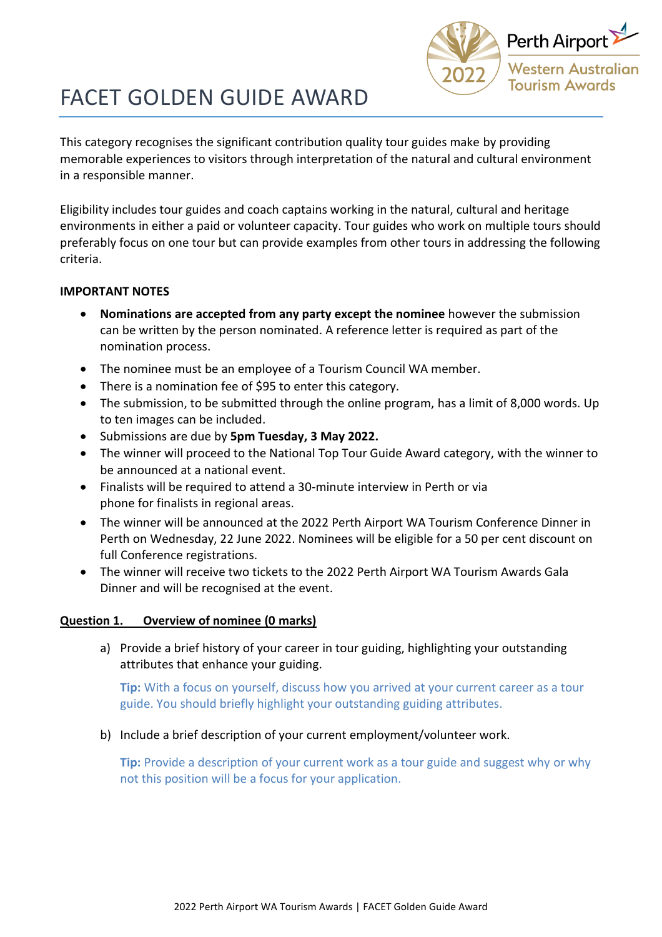

# FACET GOLDEN GUIDE AWARD

This category recognises the significant contribution quality tour guides make by providing memorable experiences to visitors through interpretation of the natural and cultural environment in a responsible manner.

Eligibility includes tour guides and coach captains working in the natural, cultural and heritage environments in either a paid or volunteer capacity. Tour guides who work on multiple tours should preferably focus on one tour but can provide examples from other tours in addressing the following criteria.

## **IMPORTANT NOTES**

- **Nominations are accepted from any party except the nominee** however the submission can be written by the person nominated. A reference letter is required as part of the nomination process.
- The nominee must be an employee of a Tourism Council WA member.
- There is a nomination fee of \$95 to enter this category.
- The submission, to be submitted through the online program, has a limit of 8,000 words. Up to ten images can be included.
- Submissions are due by **5pm Tuesday, 3 May 2022.**
- The winner will proceed to the National Top Tour Guide Award category, with the winner to be announced at a national event.
- Finalists will be required to attend a 30-minute interview in Perth or via phone for finalists in regional areas.
- The winner will be announced at the 2022 Perth Airport WA Tourism Conference Dinner in Perth on Wednesday, 22 June 2022. Nominees will be eligible for a 50 per cent discount on full Conference registrations.
- The winner will receive two tickets to the 2022 Perth Airport WA Tourism Awards Gala Dinner and will be recognised at the event.

## **Question 1. Overview of nominee (0 marks)**

a) Provide a brief history of your career in tour guiding, highlighting your outstanding attributes that enhance your guiding.

**Tip:** With a focus on yourself, discuss how you arrived at your current career as a tour guide. You should briefly highlight your outstanding guiding attributes.

b) Include a brief description of your current employment/volunteer work.

**Tip:** Provide a description of your current work as a tour guide and suggest why or why not this position will be a focus for your application.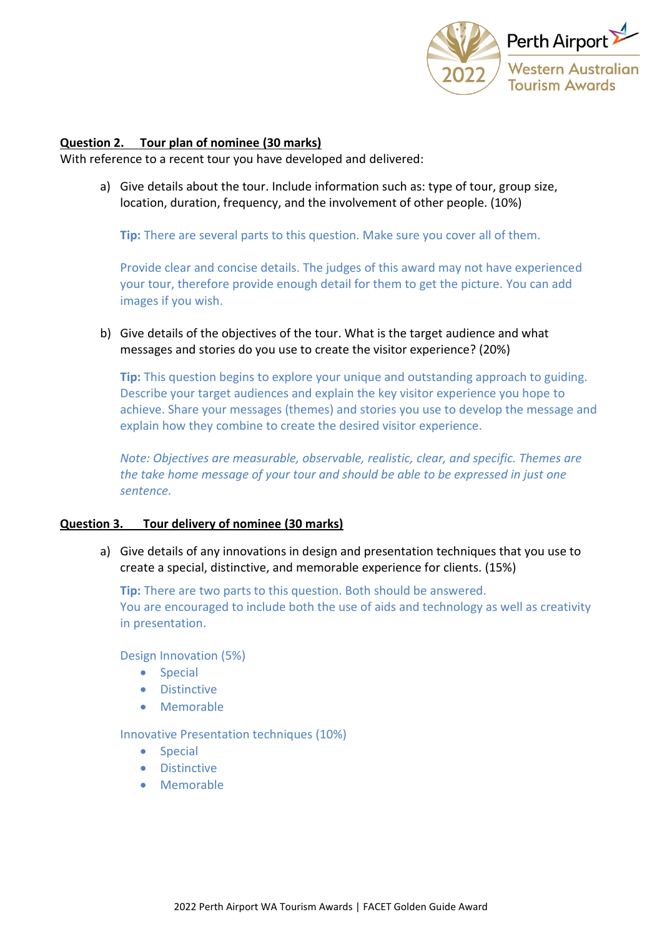

## **Question 2. Tour plan of nominee (30 marks)**

With reference to a recent tour you have developed and delivered:

a) Give details about the tour. Include information such as: type of tour, group size, location, duration, frequency, and the involvement of other people. (10%)

**Tip:** There are several parts to this question. Make sure you cover all of them.

Provide clear and concise details. The judges of this award may not have experienced your tour, therefore provide enough detail for them to get the picture. You can add images if you wish.

b) Give details of the objectives of the tour. What is the target audience and what messages and stories do you use to create the visitor experience? (20%)

**Tip:** This question begins to explore your unique and outstanding approach to guiding. Describe your target audiences and explain the key visitor experience you hope to achieve. Share your messages (themes) and stories you use to develop the message and explain how they combine to create the desired visitor experience.

*Note: Objectives are measurable, observable, realistic, clear, and specific. Themes are the take home message of your tour and should be able to be expressed in just one sentence.* 

### **Question 3. Tour delivery of nominee (30 marks)**

a) Give details of any innovations in design and presentation techniques that you use to create a special, distinctive, and memorable experience for clients. (15%)

**Tip:** There are two parts to this question. Both should be answered. You are encouraged to include both the use of aids and technology as well as creativity in presentation.

Design Innovation (5%)

- Special
- Distinctive
- Memorable

Innovative Presentation techniques (10%)

- Special
- Distinctive
- Memorable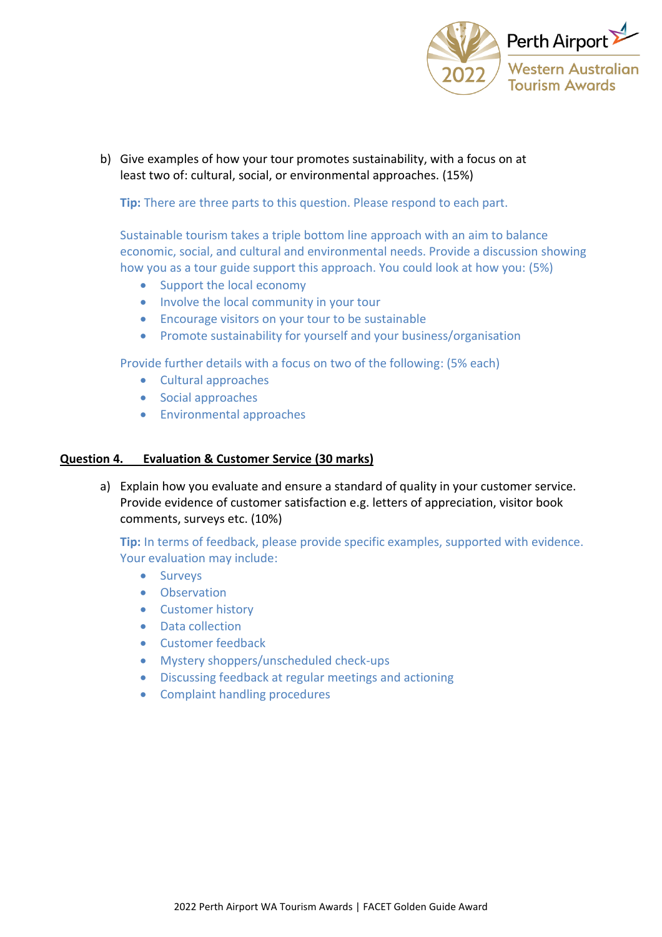

b) Give examples of how your tour promotes sustainability, with a focus on at least two of: cultural, social, or environmental approaches. (15%)

**Tip:** There are three parts to this question. Please respond to each part.

Sustainable tourism takes a triple bottom line approach with an aim to balance economic, social, and cultural and environmental needs. Provide a discussion showing how you as a tour guide support this approach. You could look at how you: (5%)

- Support the local economy
- Involve the local community in your tour
- Encourage visitors on your tour to be sustainable
- Promote sustainability for yourself and your business/organisation

Provide further details with a focus on two of the following: (5% each)

- Cultural approaches
- Social approaches
- Environmental approaches

#### **Question 4. Evaluation & Customer Service (30 marks)**

a) Explain how you evaluate and ensure a standard of quality in your customer service. Provide evidence of customer satisfaction e.g. letters of appreciation, visitor book comments, surveys etc. (10%)

**Tip:** In terms of feedback, please provide specific examples, supported with evidence. Your evaluation may include:

- Surveys
- Observation
- Customer history
- Data collection
- Customer feedback
- Mystery shoppers/unscheduled check-ups
- Discussing feedback at regular meetings and actioning
- Complaint handling procedures